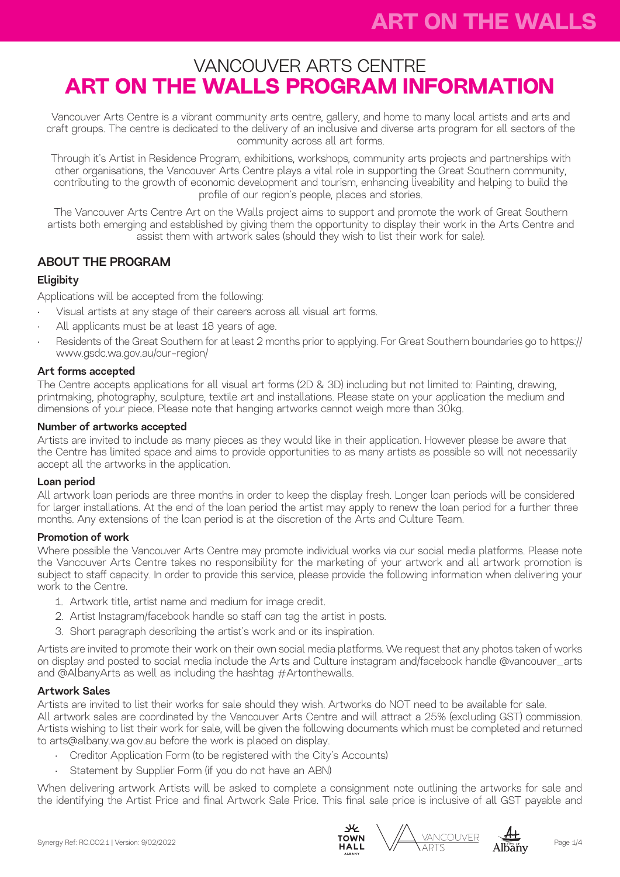# VANCOUVER ARTS CENTRE **ART ON THE WALLS PROGRAM INFORMATION**

Vancouver Arts Centre is a vibrant community arts centre, gallery, and home to many local artists and arts and craft groups. The centre is dedicated to the delivery of an inclusive and diverse arts program for all sectors of the community across all art forms.

Through it's Artist in Residence Program, exhibitions, workshops, community arts projects and partnerships with other organisations, the Vancouver Arts Centre plays a vital role in supporting the Great Southern community, contributing to the growth of economic development and tourism, enhancing liveability and helping to build the profile of our region's people, places and stories.

The Vancouver Arts Centre Art on the Walls project aims to support and promote the work of Great Southern artists both emerging and established by giving them the opportunity to display their work in the Arts Centre and assist them with artwork sales (should they wish to list their work for sale).

# ABOUT THE PROGRAM

## **Eligibity**

Applications will be accepted from the following:

- Visual artists at any stage of their careers across all visual art forms.
- All applicants must be at least 18 years of age.
- Residents of the Great Southern for at least 2 months prior to applying. For Great Southern boundaries go to https:// www.gsdc.wa.gov.au/our-region/

## Art forms accepted

The Centre accepts applications for all visual art forms (2D & 3D) including but not limited to: Painting, drawing, printmaking, photography, sculpture, textile art and installations. Please state on your application the medium and dimensions of your piece. Please note that hanging artworks cannot weigh more than 30kg.

## Number of artworks accepted

Artists are invited to include as many pieces as they would like in their application. However please be aware that the Centre has limited space and aims to provide opportunities to as many artists as possible so will not necessarily accept all the artworks in the application.

### Loan period

All artwork loan periods are three months in order to keep the display fresh. Longer loan periods will be considered for larger installations. At the end of the loan period the artist may apply to renew the loan period for a further three months. Any extensions of the loan period is at the discretion of the Arts and Culture Team.

## Promotion of work

Where possible the Vancouver Arts Centre may promote individual works via our social media platforms. Please note the Vancouver Arts Centre takes no responsibility for the marketing of your artwork and all artwork promotion is subject to staff capacity. In order to provide this service, please provide the following information when delivering your work to the Centre.

- 1. Artwork title, artist name and medium for image credit.
- 2. Artist Instagram/facebook handle so staff can tag the artist in posts.
- 3. Short paragraph describing the artist's work and or its inspiration.

Artists are invited to promote their work on their own social media platforms. We request that any photos taken of works on display and posted to social media include the Arts and Culture instagram and/facebook handle @vancouver\_arts and @AlbanyArts as well as including the hashtag #Artonthewalls.

## Artwork Sales

Artists are invited to list their works for sale should they wish. Artworks do NOT need to be available for sale. All artwork sales are coordinated by the Vancouver Arts Centre and will attract a 25% (excluding GST) commission. Artists wishing to list their work for sale, will be given the following documents which must be completed and returned to arts@albany.wa.gov.au before the work is placed on display.

- Creditor Application Form (to be registered with the City's Accounts)
- Statement by Supplier Form (if you do not have an ABN)

When delivering artwork Artists will be asked to complete a consignment note outlining the artworks for sale and the identifying the Artist Price and final Artwork Sale Price. This final sale price is inclusive of all GST payable and





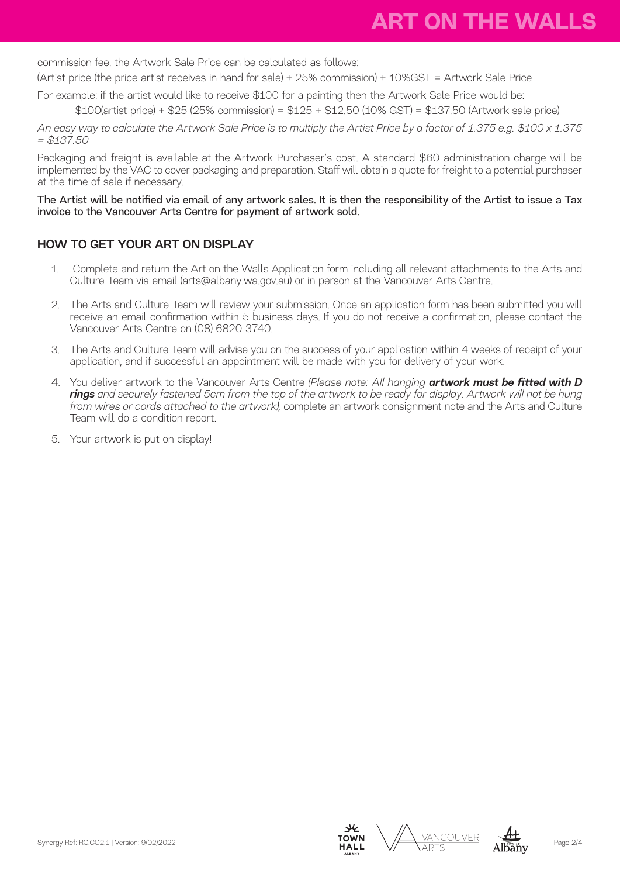commission fee. the Artwork Sale Price can be calculated as follows:

(Artist price (the price artist receives in hand for sale) + 25% commission) + 10%GST = Artwork Sale Price

For example: if the artist would like to receive \$100 for a painting then the Artwork Sale Price would be:

\$100(artist price) + \$25 (25% commission) = \$125 + \$12.50 (10% GST) = \$137.50 (Artwork sale price)

*An easy way to calculate the Artwork Sale Price is to multiply the Artist Price by a factor of 1.375 e.g. \$100 x 1.375 = \$137.50*

Packaging and freight is available at the Artwork Purchaser's cost. A standard \$60 administration charge will be implemented by the VAC to cover packaging and preparation. Staff will obtain a quote for freight to a potential purchaser at the time of sale if necessary.

## The Artist will be notified via email of any artwork sales. It is then the responsibility of the Artist to issue a Tax invoice to the Vancouver Arts Centre for payment of artwork sold.

# HOW TO GET YOUR ART ON DISPLAY

- 1. Complete and return the Art on the Walls Application form including all relevant attachments to the Arts and Culture Team via email (arts@albany.wa.gov.au) or in person at the Vancouver Arts Centre.
- 2. The Arts and Culture Team will review your submission. Once an application form has been submitted you will receive an email confirmation within 5 business days. If you do not receive a confirmation, please contact the Vancouver Arts Centre on (08) 6820 3740.
- 3. The Arts and Culture Team will advise you on the success of your application within 4 weeks of receipt of your application, and if successful an appointment will be made with you for delivery of your work.
- 4. You deliver artwork to the Vancouver Arts Centre *(Please note: All hanging artwork must be fitted with D rings and securely fastened 5cm from the top of the artwork to be ready for display. Artwork will not be hung from wires or cords attached to the artwork),* complete an artwork consignment note and the Arts and Culture Team will do a condition report.
- 5. Your artwork is put on display!





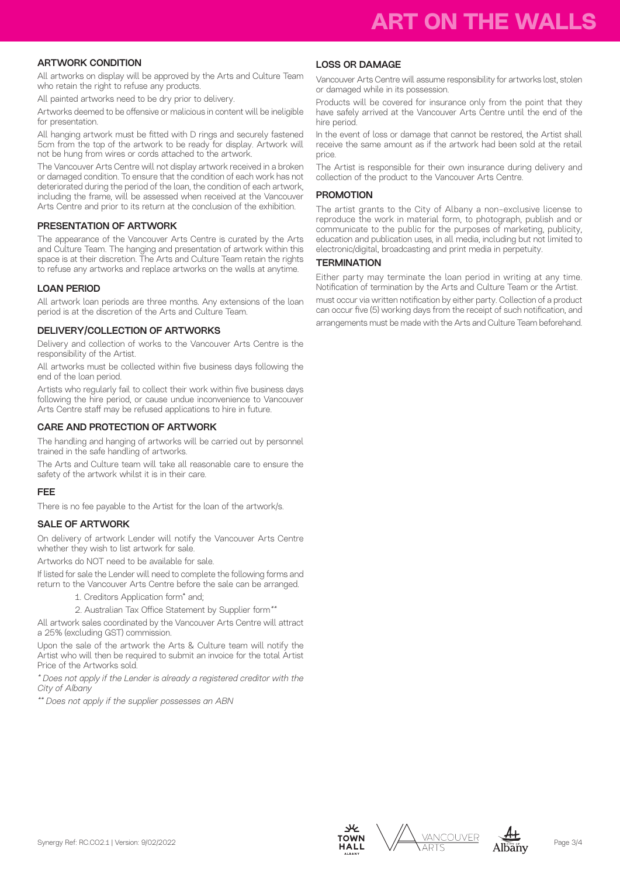### ARTWORK CONDITION

All artworks on display will be approved by the Arts and Culture Team who retain the right to refuse any products.

All painted artworks need to be dry prior to delivery.

Artworks deemed to be offensive or malicious in content will be ineligible for presentation.

All hanging artwork must be fitted with D rings and securely fastened 5cm from the top of the artwork to be ready for display. Artwork will not be hung from wires or cords attached to the artwork.

The Vancouver Arts Centre will not display artwork received in a broken or damaged condition. To ensure that the condition of each work has not deteriorated during the period of the loan, the condition of each artwork, including the frame, will be assessed when received at the Vancouver Arts Centre and prior to its return at the conclusion of the exhibition.

#### PRESENTATION OF ARTWORK

The appearance of the Vancouver Arts Centre is curated by the Arts and Culture Team. The hanging and presentation of artwork within this space is at their discretion. The Arts and Culture Team retain the rights to refuse any artworks and replace artworks on the walls at anytime.

#### LOAN PERIOD

All artwork loan periods are three months. Any extensions of the loan period is at the discretion of the Arts and Culture Team.

#### DELIVERY/COLLECTION OF ARTWORKS

Delivery and collection of works to the Vancouver Arts Centre is the responsibility of the Artist.

All artworks must be collected within five business days following the end of the loan period.

Artists who regularly fail to collect their work within five business days following the hire period, or cause undue inconvenience to Vancouver Arts Centre staff may be refused applications to hire in future.

#### CARE AND PROTECTION OF ARTWORK

The handling and hanging of artworks will be carried out by personnel trained in the safe handling of artworks.

The Arts and Culture team will take all reasonable care to ensure the safety of the artwork whilst it is in their care.

#### FEE

There is no fee payable to the Artist for the loan of the artwork/s.

#### SALE OF ARTWORK

On delivery of artwork Lender will notify the Vancouver Arts Centre whether they wish to list artwork for sale.

Artworks do NOT need to be available for sale.

If listed for sale the Lender will need to complete the following forms and return to the Vancouver Arts Centre before the sale can be arranged.

1. Creditors Application form\* and;

2. Australian Tax Office Statement by Supplier form*\*\** 

All artwork sales coordinated by the Vancouver Arts Centre will attract a 25% (excluding GST) commission.

Upon the sale of the artwork the Arts & Culture team will notify the Artist who will then be required to submit an invoice for the total Artist Price of the Artworks sold.

*\* Does not apply if the Lender is already a registered creditor with the City of Albany* 

*\*\* Does not apply if the supplier possesses an ABN*

#### LOSS OR DAMAGE

Vancouver Arts Centre will assume responsibility for artworks lost, stolen or damaged while in its possession.

Products will be covered for insurance only from the point that they have safely arrived at the Vancouver Arts Centre until the end of the hire period.

In the event of loss or damage that cannot be restored, the Artist shall receive the same amount as if the artwork had been sold at the retail price.

The Artist is responsible for their own insurance during delivery and collection of the product to the Vancouver Arts Centre.

#### **PROMOTION**

The artist grants to the City of Albany a non-exclusive license to reproduce the work in material form, to photograph, publish and or communicate to the public for the purposes of marketing, publicity, education and publication uses, in all media, including but not limited to electronic/digital, broadcasting and print media in perpetuity.

#### **TERMINATION**

Either party may terminate the loan period in writing at any time. Notification of termination by the Arts and Culture Team or the Artist. must occur via written notification by either party. Collection of a product can occur five (5) working days from the receipt of such notification, and arrangements must be made with the Arts and Culture Team beforehand.